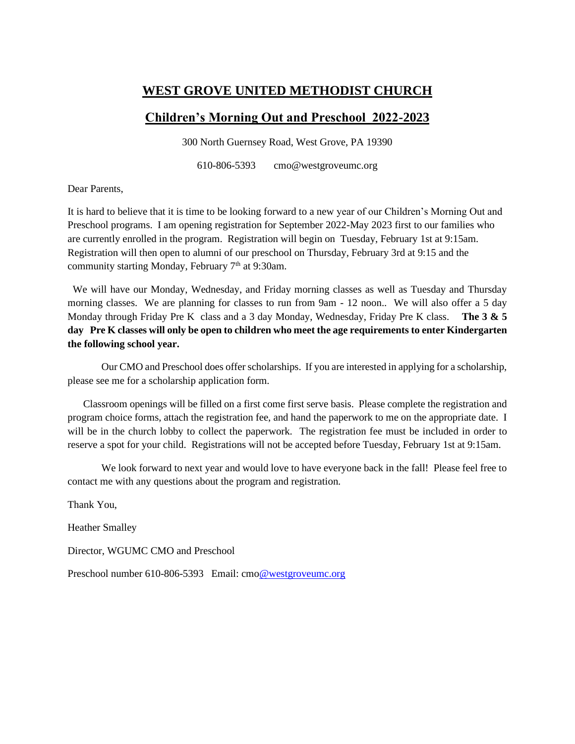### **WEST GROVE UNITED METHODIST CHURCH**

## **Children's Morning Out and Preschool 2022-2023**

300 North Guernsey Road, West Grove, PA 19390

610-806-5393 cmo@westgroveumc.org

Dear Parents,

It is hard to believe that it is time to be looking forward to a new year of our Children's Morning Out and Preschool programs. I am opening registration for September 2022-May 2023 first to our families who are currently enrolled in the program. Registration will begin on Tuesday, February 1st at 9:15am. Registration will then open to alumni of our preschool on Thursday, February 3rd at 9:15 and the community starting Monday, February  $7<sup>th</sup>$  at 9:30am.

 We will have our Monday, Wednesday, and Friday morning classes as well as Tuesday and Thursday morning classes. We are planning for classes to run from 9am - 12 noon.. We will also offer a 5 day Monday through Friday Pre K class and a 3 day Monday, Wednesday, Friday Pre K class. **The 3 & 5 day Pre K classes will only be open to children who meet the age requirements to enter Kindergarten the following school year.**

Our CMO and Preschool does offer scholarships. If you are interested in applying for a scholarship, please see me for a scholarship application form.

 Classroom openings will be filled on a first come first serve basis. Please complete the registration and program choice forms, attach the registration fee, and hand the paperwork to me on the appropriate date. I will be in the church lobby to collect the paperwork. The registration fee must be included in order to reserve a spot for your child. Registrations will not be accepted before Tuesday, February 1st at 9:15am.

We look forward to next year and would love to have everyone back in the fall! Please feel free to contact me with any questions about the program and registration.

Thank You,

Heather Smalley

Director, WGUMC CMO and Preschool

Preschool number 610-806-5393 Email: cm[o@westgroveumc.org](mailto:tracy.mclaughlin@westgroveumc.org)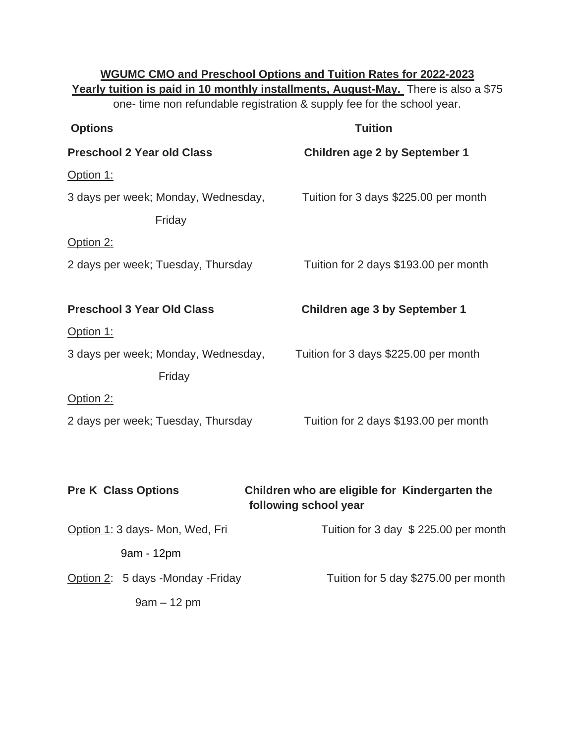| <b>WGUMC CMO and Preschool Options and Tuition Rates for 2022-2023</b><br>Yearly tuition is paid in 10 monthly installments, August-May. There is also a \$75<br>one- time non refundable registration & supply fee for the school year. |                                                                         |  |  |  |
|------------------------------------------------------------------------------------------------------------------------------------------------------------------------------------------------------------------------------------------|-------------------------------------------------------------------------|--|--|--|
| <b>Options</b>                                                                                                                                                                                                                           | <b>Tuition</b>                                                          |  |  |  |
| <b>Preschool 2 Year old Class</b>                                                                                                                                                                                                        | <b>Children age 2 by September 1</b>                                    |  |  |  |
| Option 1:                                                                                                                                                                                                                                |                                                                         |  |  |  |
| 3 days per week; Monday, Wednesday,                                                                                                                                                                                                      | Tuition for 3 days \$225.00 per month                                   |  |  |  |
| Friday                                                                                                                                                                                                                                   |                                                                         |  |  |  |
| Option 2:                                                                                                                                                                                                                                |                                                                         |  |  |  |
| 2 days per week; Tuesday, Thursday                                                                                                                                                                                                       | Tuition for 2 days \$193.00 per month                                   |  |  |  |
|                                                                                                                                                                                                                                          |                                                                         |  |  |  |
| <b>Preschool 3 Year Old Class</b>                                                                                                                                                                                                        | <b>Children age 3 by September 1</b>                                    |  |  |  |
| Option 1:                                                                                                                                                                                                                                |                                                                         |  |  |  |
| 3 days per week; Monday, Wednesday,                                                                                                                                                                                                      | Tuition for 3 days \$225.00 per month                                   |  |  |  |
| Friday                                                                                                                                                                                                                                   |                                                                         |  |  |  |
| Option 2:                                                                                                                                                                                                                                |                                                                         |  |  |  |
| 2 days per week; Tuesday, Thursday                                                                                                                                                                                                       | Tuition for 2 days \$193.00 per month                                   |  |  |  |
|                                                                                                                                                                                                                                          |                                                                         |  |  |  |
|                                                                                                                                                                                                                                          |                                                                         |  |  |  |
| <b>Pre K Class Options</b>                                                                                                                                                                                                               | Children who are eligible for Kindergarten the<br>following school year |  |  |  |
| Option 1: 3 days- Mon, Wed, Fri                                                                                                                                                                                                          | Tuition for 3 day \$ 225.00 per month                                   |  |  |  |
| 9am - 12pm                                                                                                                                                                                                                               |                                                                         |  |  |  |
|                                                                                                                                                                                                                                          |                                                                         |  |  |  |

9am – 12 pm

Option 2: 5 days -Monday -Friday Tuition for 5 day \$275.00 per month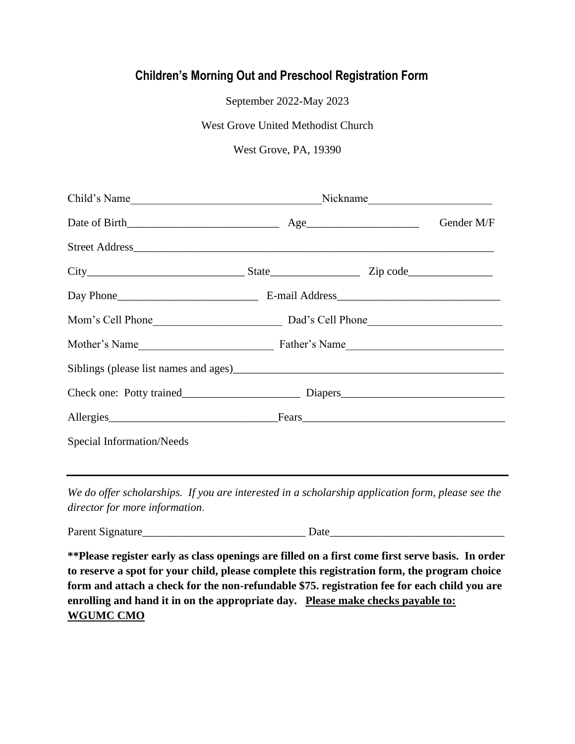# **Children's Morning Out and Preschool Registration Form**

September 2022-May 2023

West Grove United Methodist Church

### West Grove, PA, 19390

|                                  |  |  | Gender M/F |
|----------------------------------|--|--|------------|
|                                  |  |  |            |
|                                  |  |  |            |
|                                  |  |  |            |
|                                  |  |  |            |
|                                  |  |  |            |
|                                  |  |  |            |
|                                  |  |  |            |
| Allergies Fears Fears            |  |  |            |
| <b>Special Information/Needs</b> |  |  |            |
|                                  |  |  |            |

*We do offer scholarships. If you are interested in a scholarship application form, please see the director for more information*.

Parent Signature\_\_\_\_\_\_\_\_\_\_\_\_\_\_\_\_\_\_\_\_\_\_\_\_\_\_\_\_\_ Date\_\_\_\_\_\_\_\_\_\_\_\_\_\_\_\_\_\_\_\_\_\_\_\_\_\_\_\_\_\_\_

**\*\*Please register early as class openings are filled on a first come first serve basis. In order to reserve a spot for your child, please complete this registration form, the program choice form and attach a check for the non-refundable \$75. registration fee for each child you are enrolling and hand it in on the appropriate day. Please make checks payable to: WGUMC CMO**